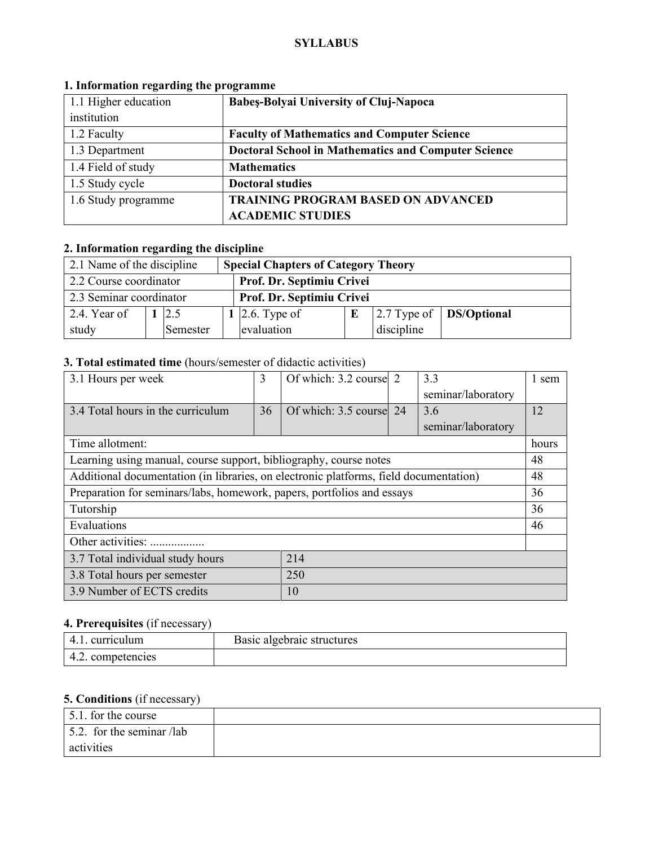#### **SYLLABUS**

| 1.1 Higher education | <b>Babes-Bolyai University of Cluj-Napoca</b>              |  |  |
|----------------------|------------------------------------------------------------|--|--|
| institution          |                                                            |  |  |
| 1.2 Faculty          | <b>Faculty of Mathematics and Computer Science</b>         |  |  |
| 1.3 Department       | <b>Doctoral School in Mathematics and Computer Science</b> |  |  |
| 1.4 Field of study   | <b>Mathematics</b>                                         |  |  |
| 1.5 Study cycle      | <b>Doctoral studies</b>                                    |  |  |
| 1.6 Study programme  | <b>TRAINING PROGRAM BASED ON ADVANCED</b>                  |  |  |
|                      | <b>ACADEMIC STUDIES</b>                                    |  |  |

# **1. Information regarding the programme**

# **2. Information regarding the discipline**

| 2.1 Name of the discipline                          |  |          | <b>Special Chapters of Category Theory</b> |                           |  |            |                                         |
|-----------------------------------------------------|--|----------|--------------------------------------------|---------------------------|--|------------|-----------------------------------------|
| 2.2 Course coordinator<br>Prof. Dr. Septimiu Crivei |  |          |                                            |                           |  |            |                                         |
| 2.3 Seminar coordinator                             |  |          |                                            | Prof. Dr. Septimiu Crivei |  |            |                                         |
| 2.4. Year of                                        |  | 12.5     |                                            | 1   2.6. Type of          |  |            | $\vert$ 2.7 Type of $\vert$ DS/Optional |
| study                                               |  | Semester |                                            | evaluation                |  | discipline |                                         |

# **3. Total estimated time** (hours/semester of didactic activities)

| 3.1 Hours per week                                                                    | 3  | Of which: 3.2 course 2  |  | 3.3                | 1 sem |
|---------------------------------------------------------------------------------------|----|-------------------------|--|--------------------|-------|
|                                                                                       |    |                         |  | seminar/laboratory |       |
| 3.4 Total hours in the curriculum                                                     | 36 | Of which: 3.5 course 24 |  | 3.6                | 12    |
|                                                                                       |    |                         |  | seminar/laboratory |       |
| Time allotment:                                                                       |    |                         |  |                    | hours |
| Learning using manual, course support, bibliography, course notes                     |    |                         |  |                    | 48    |
| Additional documentation (in libraries, on electronic platforms, field documentation) |    |                         |  |                    | 48    |
| Preparation for seminars/labs, homework, papers, portfolios and essays                |    |                         |  |                    | 36    |
| Tutorship                                                                             |    |                         |  |                    | 36    |
| Evaluations                                                                           |    |                         |  |                    | 46    |
| Other activities:                                                                     |    |                         |  |                    |       |
| 214<br>3.7 Total individual study hours                                               |    |                         |  |                    |       |
| 250<br>3.8 Total hours per semester                                                   |    |                         |  |                    |       |
| 3.9 Number of ECTS credits<br>10                                                      |    |                         |  |                    |       |

# **4. Prerequisites** (if necessary)

| curriculum           | Basic algebraic structures |
|----------------------|----------------------------|
| competencies<br>᠇.∠. |                            |

# **5. Conditions** (if necessary)

| $\vert$ 5.1. for the course       |  |
|-----------------------------------|--|
| $\vert$ 5.2. for the seminar /lab |  |
| activities                        |  |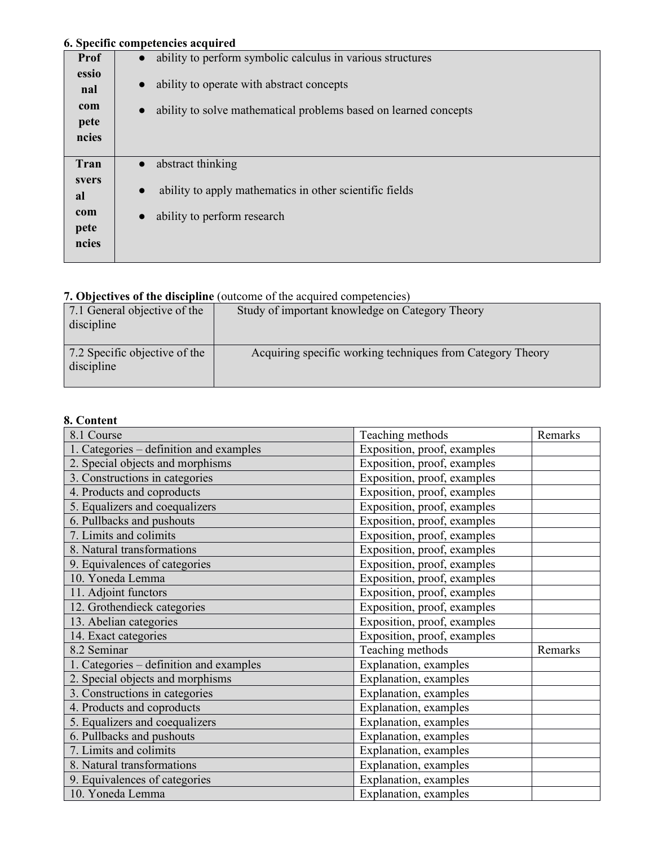## **6. Specific competencies acquired**

|                                      | о. эрссик сошренненся асquired                                                                                                          |
|--------------------------------------|-----------------------------------------------------------------------------------------------------------------------------------------|
| Prof                                 | ability to perform symbolic calculus in various structures<br>$\bullet$                                                                 |
| essio<br>nal<br>com<br>pete<br>ncies | ability to operate with abstract concepts<br>$\bullet$<br>ability to solve mathematical problems based on learned concepts<br>$\bullet$ |
| Tran                                 | abstract thinking                                                                                                                       |
| svers<br>al<br>com<br>pete<br>ncies  | ability to apply mathematics in other scientific fields<br>$\bullet$<br>ability to perform research                                     |

# **7. Objectives of the discipline** (outcome of the acquired competencies)

| 7.1 General objective of the  |                                                            |
|-------------------------------|------------------------------------------------------------|
|                               | Study of important knowledge on Category Theory            |
| discipline                    |                                                            |
|                               |                                                            |
|                               |                                                            |
| 7.2 Specific objective of the | Acquiring specific working techniques from Category Theory |
| discipline                    |                                                            |
|                               |                                                            |
|                               |                                                            |

#### **8. Content**

| 8.1 Course                              | Teaching methods            | Remarks |
|-----------------------------------------|-----------------------------|---------|
| 1. Categories – definition and examples | Exposition, proof, examples |         |
| 2. Special objects and morphisms        | Exposition, proof, examples |         |
| 3. Constructions in categories          | Exposition, proof, examples |         |
| 4. Products and coproducts              | Exposition, proof, examples |         |
| 5. Equalizers and coequalizers          | Exposition, proof, examples |         |
| 6. Pullbacks and pushouts               | Exposition, proof, examples |         |
| 7. Limits and colimits                  | Exposition, proof, examples |         |
| 8. Natural transformations              | Exposition, proof, examples |         |
| 9. Equivalences of categories           | Exposition, proof, examples |         |
| 10. Yoneda Lemma                        | Exposition, proof, examples |         |
| 11. Adjoint functors                    | Exposition, proof, examples |         |
| 12. Grothendieck categories             | Exposition, proof, examples |         |
| 13. Abelian categories                  | Exposition, proof, examples |         |
| 14. Exact categories                    | Exposition, proof, examples |         |
| 8.2 Seminar                             | Teaching methods            | Remarks |
| 1. Categories – definition and examples | Explanation, examples       |         |
| 2. Special objects and morphisms        | Explanation, examples       |         |
| 3. Constructions in categories          | Explanation, examples       |         |
| 4. Products and coproducts              | Explanation, examples       |         |
| 5. Equalizers and coequalizers          | Explanation, examples       |         |
| 6. Pullbacks and pushouts               | Explanation, examples       |         |
| 7. Limits and colimits                  | Explanation, examples       |         |
| 8. Natural transformations              | Explanation, examples       |         |
| 9. Equivalences of categories           | Explanation, examples       |         |
| 10. Yoneda Lemma                        | Explanation, examples       |         |